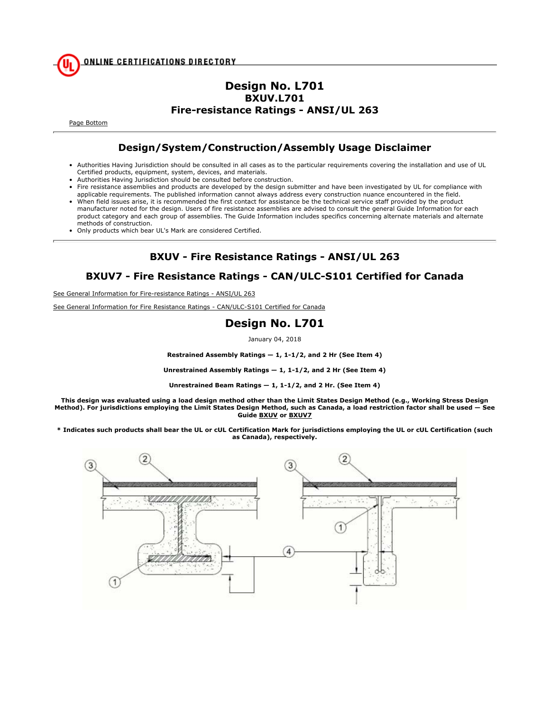### **Design No. L701 BXUV.L701 Fire-resistance Ratings - ANSI/UL 263**

Page Bottom

## **Design/System/Construction/Assembly Usage Disclaimer**

- Authorities Having Jurisdiction should be consulted in all cases as to the particular requirements covering the installation and use of UL Certified products, equipment, system, devices, and materials.
- Authorities Having Jurisdiction should be consulted before construction.
- Fire resistance assemblies and products are developed by the design submitter and have been investigated by UL for compliance with applicable requirements. The published information cannot always address every construction nuance encountered in the field.
- When field issues arise, it is recommended the first contact for assistance be the technical service staff provided by the product manufacturer noted for the design. Users of fire resistance assemblies are advised to consult the general Guide Information for each product category and each group of assemblies. The Guide Information includes specifics concerning alternate materials and alternate methods of construction.
- Only products which bear UL's Mark are considered Certified.

# **BXUV - Fire Resistance Ratings - ANSI/UL 263**

## **BXUV7 - Fire Resistance Ratings - CAN/ULC-S101 Certified for Canada**

See General Information for Fire-resistance Ratings - ANSI/UL 263

See General Information for Fire Resistance Ratings - CAN/ULC-S101 Certified for Canada

#### **Design No. L701**

January 04, 2018

**Restrained Assembly Ratings — 1, 1-1/2, and 2 Hr (See Item 4)**

**Unrestrained Assembly Ratings — 1, 1-1/2, and 2 Hr (See Item 4)**

**Unrestrained Beam Ratings — 1, 1-1/2, and 2 Hr. (See Item 4)**

**This design was evaluated using a load design method other than the Limit States Design Method (e.g., Working Stress Design Method). For jurisdictions employing the Limit States Design Method, such as Canada, a load restriction factor shall be used — See Guide BXUV or BXUV7**

**\* Indicates such products shall bear the UL or cUL Certification Mark for jurisdictions employing the UL or cUL Certification (such as Canada), respectively.**

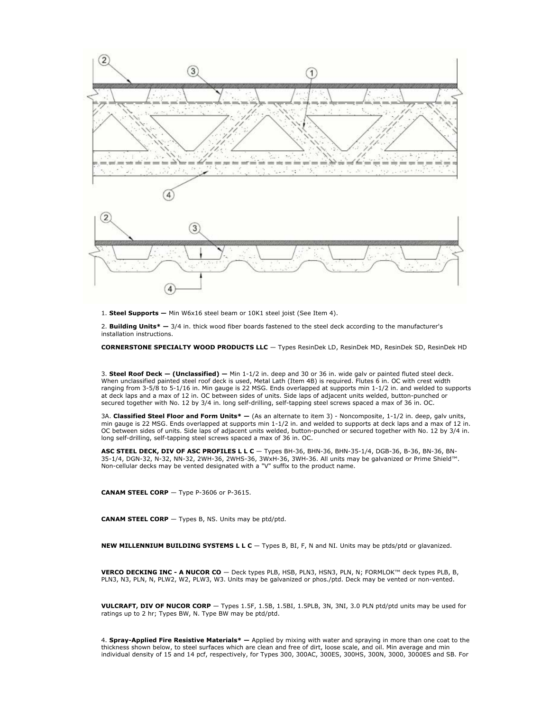

1. **Steel Supports —** Min W6x16 steel beam or 10K1 steel joist (See Item 4).

2. **Building Units\* —** 3/4 in. thick wood fiber boards fastened to the steel deck according to the manufacturer's installation instructions.

**CORNERSTONE SPECIALTY WOOD PRODUCTS LLC** — Types ResinDek LD, ResinDek MD, ResinDek SD, ResinDek HD

3. **Steel Roof Deck — (Unclassified) —** Min 1-1/2 in. deep and 30 or 36 in. wide galv or painted fluted steel deck. When unclassified painted steel roof deck is used, Metal Lath (Item 4B) is required. Flutes 6 in. OC with crest width ranging from 3-5/8 to 5-1/16 in. Min gauge is 22 MSG. Ends overlapped at supports min 1-1/2 in. and welded to supports at deck laps and a max of 12 in. OC between sides of units. Side laps of adjacent units welded, button-punched or secured together with No. 12 by 3/4 in. long self-drilling, self-tapping steel screws spaced a max of 36 in. OC.

3A. **Classified Steel Floor and Form Units\* —** (As an alternate to item 3) - Noncomposite, 1-1/2 in. deep, galv units, min gauge is 22 MSG. Ends overlapped at supports min 1-1/2 in. and welded to supports at deck laps and a max of 12 in. OC between sides of units. Side laps of adjacent units welded, button-punched or secured together with No. 12 by 3/4 in. long self-drilling, self-tapping steel screws spaced a max of 36 in. OC.

**ASC STEEL DECK, DIV OF ASC PROFILES L L C** — Types BH-36, BHN-36, BHN-35-1/4, DGB-36, B-36, BN-36, BN-35-1/4, DGN-32, N-32, NN-32, 2WH-36, 2WHS-36, 3WxH-36, 3WH-36. All units may be galvanized or Prime Shield™. Non-cellular decks may be vented designated with a "V" suffix to the product name.

**CANAM STEEL CORP** — Type P-3606 or P-3615.

**CANAM STEEL CORP** — Types B, NS. Units may be ptd/ptd.

**NEW MILLENNIUM BUILDING SYSTEMS L L C** — Types B, BI, F, N and NI. Units may be ptds/ptd or glavanized.

**VERCO DECKING INC - A NUCOR CO** — Deck types PLB, HSB, PLN3, HSN3, PLN, N; FORMLOK™ deck types PLB, B, PLN3, N3, PLN, N, PLW2, W2, PLW3, W3. Units may be galvanized or phos./ptd. Deck may be vented or non-vented.

**VULCRAFT, DIV OF NUCOR CORP** — Types 1.5F, 1.5B, 1.5BI, 1.5PLB, 3N, 3NI, 3.0 PLN ptd/ptd units may be used for ratings up to 2 hr; Types BW, N. Type BW may be ptd/ptd.

4. **Spray-Applied Fire Resistive Materials\* —** Applied by mixing with water and spraying in more than one coat to the thickness shown below, to steel surfaces which are clean and free of dirt, loose scale, and oil. Min average and min individual density of 15 and 14 pcf, respectively, for Types 300, 300AC, 300ES, 300HS, 300N, 3000, 3000ES and SB. For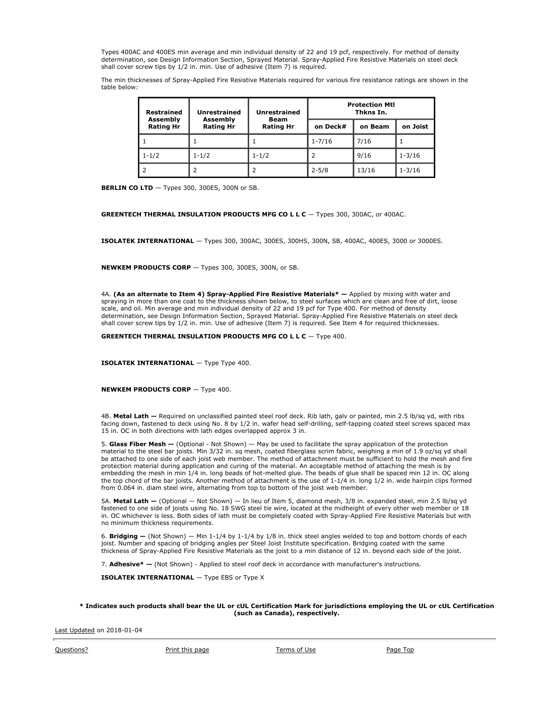Types 400AC and 400ES min average and min individual density of 22 and 19 pcf, respectively. For method of density determination, see Design Information Section, Sprayed Material. Spray-Applied Fire Resistive Materials on steel deck shall cover screw tips by 1/2 in. min. Use of adhesive (Item 7) is required.

The min thicknesses of Spray-Applied Fire Resistive Materials required for various fire resistance ratings are shown in the table below:

| Restrained<br>Assembly<br><b>Rating Hr</b> | <b>Unrestrained</b><br>Assembly<br><b>Rating Hr</b> | <b>Unrestrained</b><br>Beam<br><b>Rating Hr</b> | <b>Protection Mtl</b><br>Thkns In. |         |            |
|--------------------------------------------|-----------------------------------------------------|-------------------------------------------------|------------------------------------|---------|------------|
|                                            |                                                     |                                                 | on Deck#                           | on Beam | on Joist   |
|                                            |                                                     |                                                 | $1 - 7/16$                         | 7/16    |            |
| $1 - 1/2$                                  | $1 - 1/2$                                           | $1 - 1/2$                                       |                                    | 9/16    | $1 - 3/16$ |
|                                            |                                                     |                                                 | $2 - 5/8$                          | 13/16   | $1 - 3/16$ |

**BERLIN CO LTD**  $-$  Types 300, 300ES, 300N or SB.

**GREENTECH THERMAL INSULATION PRODUCTS MFG CO L L C** - Types 300, 300AC, or 400AC.

**ISOLATEK INTERNATIONAL** — Types 300, 300AC, 300ES, 300HS, 300N, SB, 400AC, 400ES, 3000 or 3000ES.

**NEWKEM PRODUCTS CORP** — Types 300, 300ES, 300N, or SB.

4A. **(As an alternate to Item 4) Spray-Applied Fire Resistive Materials\* —** Applied by mixing with water and spraying in more than one coat to the thickness shown below, to steel surfaces which are clean and free of dirt, loose scale, and oil. Min average and min individual density of 22 and 19 pcf for Type 400. For method of density determination, see Design Information Section, Sprayed Material. Spray-Applied Fire Resistive Materials on steel deck shall cover screw tips by 1/2 in. min. Use of adhesive (Item 7) is required. See Item 4 for required thicknesses.

**GREENTECH THERMAL INSULATION PRODUCTS MFG CO L L C** — Type 400.

**ISOLATEK INTERNATIONAL** - Type Type 400.

**NEWKEM PRODUCTS CORP** — Type 400.

4B. **Metal Lath —** Required on unclassified painted steel roof deck. Rib lath, galv or painted, min 2.5 lb/sq yd, with ribs facing down, fastened to deck using No. 8 by 1/2 in. wafer head self-drilling, self-tapping coated steel screws spaced max 15 in. OC in both directions with lath edges overlapped approx 3 in.

5. **Glass Fiber Mesh —** (Optional - Not Shown) — May be used to facilitate the spray application of the protection material to the steel bar joists. Min 3/32 in. sq mesh, coated fiberglass scrim fabric, weighing a min of 1.9 oz/sq yd shall be attached to one side of each joist web member. The method of attachment must be sufficient to hold the mesh and fire protection material during application and curing of the material. An acceptable method of attaching the mesh is by embedding the mesh in min 1/4 in. long beads of hot-melted glue. The beads of glue shall be spaced min 12 in. OC along the top chord of the bar joists. Another method of attachment is the use of 1-1/4 in. long 1/2 in. wide hairpin clips formed from 0.064 in. diam steel wire, alternating from top to bottom of the joist web member.

5A. **Metal Lath —** (Optional — Not Shown) — In lieu of Item 5, diamond mesh, 3/8 in. expanded steel, min 2.5 lb/sq yd fastened to one side of joists using No. 18 SWG steel tie wire, located at the midheight of every other web member or 18 in. OC whichever is less. Both sides of lath must be completely coated with Spray-Applied Fire Resistive Materials but with no minimum thickness requirements.

6. **Bridging —** (Not Shown) — Min 1-1/4 by 1-1/4 by 1/8 in. thick steel angles welded to top and bottom chords of each joist. Number and spacing of bridging angles per Steel Joist Institute specification. Bridging coated with the same thickness of Spray-Applied Fire Resistive Materials as the joist to a min distance of 12 in. beyond each side of the joist.

7. **Adhesive\* —** (Not Shown) - Applied to steel roof deck in accordance with manufacturer's instructions.

**ISOLATEK INTERNATIONAL** — Type EBS or Type X

#### **\* Indicates such products shall bear the UL or cUL Certification Mark for jurisdictions employing the UL or cUL Certification (such as Canada), respectively.**

Last Updated on 2018-01-04